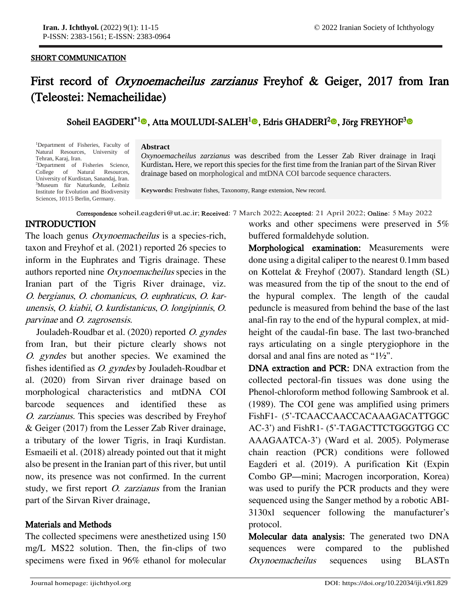#### SHORT COMMUNICATION

j

## First record of Oxynoemacheilus zarzianus Freyhof & Geiger, 2017 from Iran (Teleostei: Nemacheilidae)

## Soheil EAGDERI<sup>\*1</sup>®[,](https://orcid.org/0000-0001-8649-9452) Atta MOULUDI-SALEH<sup>[1](https://orcid.org/0000-0002-0939-0901)</sup>®, Edris GHADERI<sup>[2](https://orcid.org/0000-0002-9875-7735)</sup>®,Jörg FREYHOF<sup>3</sup>®

<sup>1</sup>Department of Fisheries, Faculty of Natural Resources, University of Tehran, Karaj, Iran. <sup>2</sup>Department of Fisheries Science,

College of Natural Resources, University of Kurdistan, Sanandaj, Iran. <sup>3</sup>Museum für Naturkunde. Leibniz Institute for Evolution and Biodiversity Sciences, 10115 Berlin, Germany.

#### **Abstract**

*Oxynoemacheilus zarzianus* was described from the Lesser Zab River drainage in Iraqi Kurdistan**.** Here, we report this species for the first time from the Iranian part of the Sirvan River drainage based on morphological and mtDNA COI barcode sequence characters.

**Keywords:** Freshwater fishes, Taxonomy, Range extension, New record.

#### Correspondence soheil.eagderi@ut.ac.ir; Received: 7 March 2022; Accepted: 21 April 2022; Online: 5 May 2022

## INTRODUCTION

The loach genus *Oxynoemacheilus* is a species-rich, taxon and Freyhof et al. (2021) reported 26 species to inform in the Euphrates and Tigris drainage. These authors reported nine Oxynoemacheilus species in the Iranian part of the Tigris River drainage, viz. O. bergianus, O. chomanicus, O. euphraticus, O. karunensis, O. kiabii, O. kurdistanicus, O. longipinnis, O. parvinae and O. zagrosensis.

Jouladeh-Roudbar et al. (2020) reported O. gyndes from Iran, but their picture clearly shows not O. gyndes but another species. We examined the fishes identified as O. gyndes by Jouladeh-Roudbar et al. (2020) from Sirvan river drainage based on morphological characteristics and mtDNA COI barcode sequences and identified these as O. zarzianus. This species was described by Freyhof & Geiger (2017) from the Lesser Zab River drainage, a tributary of the lower Tigris, in Iraqi Kurdistan. Esmaeili et al. (2018) already pointed out that it might also be present in the Iranian part of this river, but until now, its presence was not confirmed. In the current study, we first report *O. zarzianus* from the Iranian part of the Sirvan River drainage.

## Materials and Methods

The collected specimens were anesthetized using 150 mg/L MS22 solution. Then, the fin-clips of two specimens were fixed in 96% ethanol for molecular

works and other specimens were preserved in 5% buffered formaldehyde solution.

Morphological examination: Measurements were done using a digital caliper to the nearest 0.1mm based on Kottelat & Freyhof (2007). Standard length (SL) was measured from the tip of the snout to the end of the hypural complex. The length of the caudal peduncle is measured from behind the base of the last anal-fin ray to the end of the hypural complex, at midheight of the caudal-fin base. The last two-branched rays articulating on a single pterygiophore in the dorsal and anal fins are noted as "1½".

DNA extraction and PCR: DNA extraction from the collected pectoral-fin tissues was done using the Phenol-chloroform method following Sambrook et al. (1989). The COI gene was amplified using primers FishF1- (5'-TCAACCAACCACAAAGACATTGGC AC-3') and FishR1- (5'-TAGACTTCTGGGTGG CC AAAGAATCA-3') (Ward et al. 2005). Polymerase chain reaction (PCR) conditions were followed Eagderi et al. (2019). A purification Kit (Expin Combo GP—mini; Macrogen incorporation, Korea) was used to purify the PCR products and they were sequenced using the Sanger method by a robotic ABI-3130xl sequencer following the manufacturer's protocol.

Molecular data analysis: The generated two DNA sequences were compared to the published Oxynoemacheilus sequences using BLASTn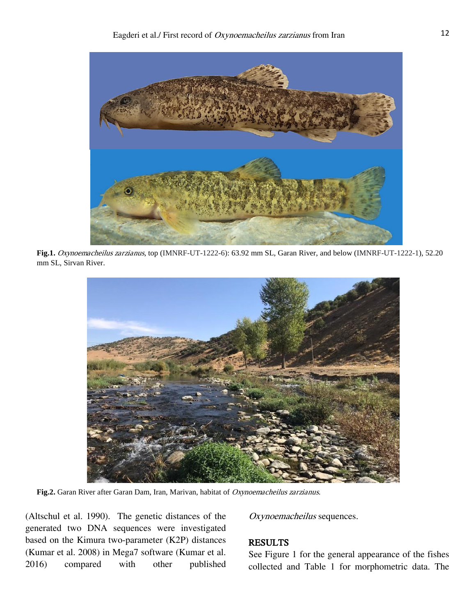

**Fig.1.** Oxynoemacheilus zarzianus, top (IMNRF-UT-1222-6): 63.92 mm SL, Garan River, and below (IMNRF-UT-1222-1), 52.20 mm SL, Sirvan River.



**Fig.2.** Garan River after Garan Dam, Iran, Marivan, habitat of Oxynoemacheilus zarzianus.

(Altschul et al. 1990). The genetic distances of the generated two DNA sequences were investigated based on the Kimura two-parameter (K2P) distances (Kumar et al. 2008) in Mega7 software (Kumar et al. 2016) compared with other published

#### Oxynoemacheilus sequences.

## RESULTS

See Figure 1 for the general appearance of the fishes collected and Table 1 for morphometric data. The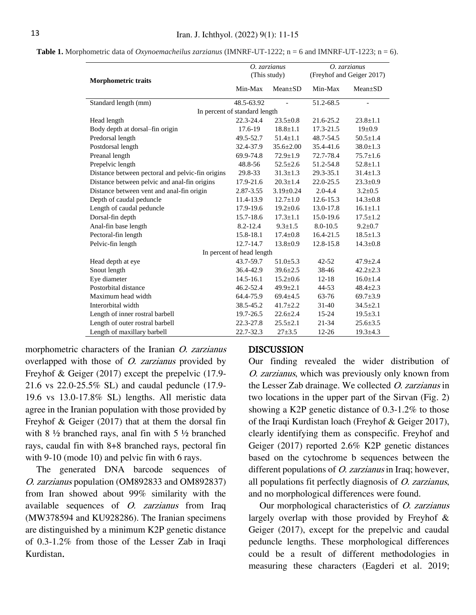| <b>Morphometric traits</b>                       | O. zarzianus  |                 | O. zarzianus              |                |
|--------------------------------------------------|---------------|-----------------|---------------------------|----------------|
|                                                  | (This study)  |                 | (Freyhof and Geiger 2017) |                |
|                                                  | Min-Max       | $Mean+SD$       | Min-Max                   | $Mean \pm SD$  |
| Standard length (mm)                             | 48.5-63.92    |                 | 51.2-68.5                 | $\overline{a}$ |
| In percent of standard length                    |               |                 |                           |                |
| Head length                                      | $22.3 - 24.4$ | $23.5 \pm 0.8$  | 21.6-25.2                 | $23.8 \pm 1.1$ |
| Body depth at dorsal-fin origin                  | 17.6-19       | $18.8 \pm 1.1$  | 17.3-21.5                 | $19 \pm 0.9$   |
| Predorsal length                                 | 49.5-52.7     | $51.4 \pm 1.1$  | 48.7-54.5                 | $50.5 \pm 1.4$ |
| Postdorsal length                                | 32.4-37.9     | $35.6 \pm 2.00$ | 35.4-41.6                 | $38.0 \pm 1.3$ |
| Preanal length                                   | 69.9-74.8     | $72.9 \pm 1.9$  | 72.7-78.4                 | $75.7 \pm 1.6$ |
| Prepelvic length                                 | 48.8-56       | $52.5 \pm 2.6$  | 51.2-54.8                 | $52.8 \pm 1.1$ |
| Distance between pectoral and pelvic-fin origins | 29.8-33       | $31.3 \pm 1.3$  | 29.3-35.1                 | $31.4 \pm 1.3$ |
| Distance between pelvic and anal-fin origins     | 17.9-21.6     | $20.3 \pm 1.4$  | $22.0 - 25.5$             | $23.3 \pm 0.9$ |
| Distance between vent and anal-fin origin        | 2.87-3.55     | $3.19 \pm 0.24$ | $2.0 - 4.4$               | $3.2 \pm 0.5$  |
| Depth of caudal peduncle                         | 11.4-13.9     | $12.7 \pm 1.0$  | $12.6 - 15.3$             | $14.3 \pm 0.8$ |
| Length of caudal peduncle                        | 17.9-19.6     | $19.2 \pm 0.6$  | 13.0-17.8                 | $16.1 \pm 1.1$ |
| Dorsal-fin depth                                 | 15.7-18.6     | $17.3 \pm 1.1$  | 15.0-19.6                 | $17.5 \pm 1.2$ |
| Anal-fin base length                             | $8.2 - 12.4$  | $9.3 \pm 1.5$   | 8.0-10.5                  | $9.2 \pm 0.7$  |
| Pectoral-fin length                              | 15.8-18.1     | $17.4 \pm 0.8$  | $16.4 - 21.5$             | $18.5 \pm 1.3$ |
| Pelvic-fin length                                | $12.7 - 14.7$ | $13.8 \pm 0.9$  | 12.8-15.8                 | $14.3 \pm 0.8$ |
| In percent of head length                        |               |                 |                           |                |
| Head depth at eye                                | 43.7-59.7     | $51.0 \pm 5.3$  | $42 - 52$                 | $47.9 \pm 2.4$ |
| Snout length                                     | 36.4-42.9     | $39.6 \pm 2.5$  | 38-46                     | $42.2 \pm 2.3$ |
| Eye diameter                                     | $14.5 - 16.1$ | $15.2 \pm 0.6$  | $12 - 18$                 | $16.0 \pm 1.4$ |
| Postorbital distance                             | 46.2-52.4     | $49.9 \pm 2.1$  | 44-53                     | $48.4 \pm 2.3$ |
| Maximum head width                               | 64.4-75.9     | $69.4 \pm 4.5$  | 63-76                     | $69.7 \pm 3.9$ |
| Interorbital width                               | 38.5-45.2     | $41.7 \pm 2.2$  | $31 - 40$                 | $34.5 \pm 2.1$ |
| Length of inner rostral barbell                  | 19.7-26.5     | $22.6 \pm 2.4$  | $15 - 24$                 | $19.5 \pm 3.1$ |
| Length of outer rostral barbell                  | 22.3-27.8     | $25.5 \pm 2.1$  | 21-34                     | $25.6 \pm 3.5$ |
| Length of maxillary barbell                      | 22.7-32.3     | $27 + 3.5$      | $12 - 26$                 | $19.3 \pm 4.3$ |

**Table 1.** Morphometric data of *Oxynoemacheilus zarzianus* (IMNRF-UT-1222; n = 6 and IMNRF-UT-1223; n = 6).

morphometric characters of the Iranian O. zarzianus overlapped with those of O. zarzianus provided by Freyhof & Geiger (2017) except the prepelvic (17.9- 21.6 vs 22.0-25.5% SL) and caudal peduncle (17.9- 19.6 vs 13.0-17.8% SL) lengths. All meristic data agree in the Iranian population with those provided by Freyhof & Geiger (2017) that at them the dorsal fin with 8 ½ branched rays, anal fin with 5 ½ branched rays, caudal fin with 8+8 branched rays, pectoral fin with 9-10 (mode 10) and pelvic fin with 6 rays.

The generated DNA barcode sequences of O. zarzianus population (OM892833 and OM892837) from Iran showed about 99% similarity with the available sequences of O. zarzianus from Iraq (MW378594 and KU928286). The Iranian specimens are distinguished by a minimum K2P genetic distance of 0.3-1.2% from those of the Lesser Zab in Iraqi Kurdistan.

#### **DISCUSSION**

Our finding revealed the wider distribution of O. zarzianus, which was previously only known from the Lesser Zab drainage. We collected O. zarzianus in two locations in the upper part of the Sirvan (Fig. 2) showing a K2P genetic distance of 0.3-1.2% to those of the Iraqi Kurdistan loach (Freyhof & Geiger 2017), clearly identifying them as conspecific. Freyhof and Geiger (2017) reported 2.6% K2P genetic distances based on the cytochrome b sequences between the different populations of *O. zarzianus* in Iraq; however, all populations fit perfectly diagnosis of O. zarzianus, and no morphological differences were found.

Our morphological characteristics of O. zarzianus largely overlap with those provided by Freyhof & Geiger (2017), except for the prepelvic and caudal peduncle lengths. These morphological differences could be a result of different methodologies in measuring these characters (Eagderi et al. 2019;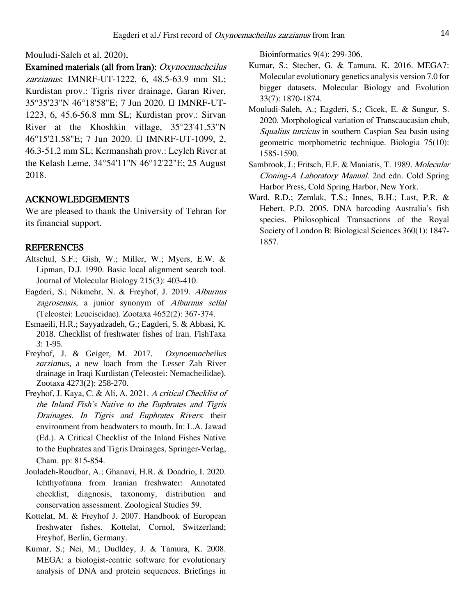### Mouludi-Saleh et al. 2020).

Examined materials (all from Iran): Oxynoemacheilus zarzianus: IMNRF-UT-1222, 6, 48.5-63.9 mm SL; Kurdistan prov.: Tigris river drainage, Garan River, 35°35'23"N 46°18'58"E; 7 Jun 2020. ⸺ IMNRF-UT-1223, 6, 45.6-56.8 mm SL; Kurdistan prov.: Sirvan River at the Khoshkin village, 35°23'41.53"N 46°15'21.58"E; 7 Jun 2020. ⸺ IMNRF-UT-1099, 2, 46.3-51.2 mm SL; Kermanshah prov.: Leyleh River at the Kelash Leme, 34°54'11"N 46°12'22"E; 25 August 2018.

### ACKNOWLEDGEMENTS

We are pleased to thank the University of Tehran for its financial support.

#### **REFERENCES**

- Altschul, S.F.; Gish, W.; Miller, W.; Myers, E.W. & Lipman, D.J. 1990. Basic local alignment search tool. Journal of Molecular Biology 215(3): 403-410.
- Eagderi, S.; Nikmehr, N. & Freyhof, J. 2019. Alburnus zagrosensis, a junior synonym of Alburnus sellal (Teleostei: Leuciscidae). Zootaxa 4652(2): 367-374.
- Esmaeili, H.R.; Sayyadzadeh, G.; Eagderi, S. & Abbasi, K. 2018. Checklist of freshwater fishes of Iran. FishTaxa 3: 1-95.
- Freyhof, J. & Geiger, M. 2017. *Oxynoemacheilus zarzianus*, a new loach from the Lesser Zab River drainage in Iraqi Kurdistan (Teleostei: Nemacheilidae). Zootaxa 4273(2): 258-270.
- Freyhof, J. Kaya, C. & Ali, A. 2021. A critical Checklist of the Inland Fish's Native to the Euphrates and Tigris Drainages. In Tigris and Euphrates Rivers: their environment from headwaters to mouth. In: L.A. Jawad (Ed.). A Critical Checklist of the Inland Fishes Native to the Euphrates and Tigris Drainages, Springer-Verlag, Cham. pp: 815-854.
- Jouladeh-Roudbar, A.; Ghanavi, H.R. & Doadrio, I. 2020. Ichthyofauna from Iranian freshwater: Annotated checklist, diagnosis, taxonomy, distribution and conservation assessment. Zoological Studies 59.
- Kottelat, M. & Freyhof J. 2007. Handbook of European freshwater fishes. Kottelat, Cornol, Switzerland; Freyhof, Berlin, Germany.
- Kumar, S.; Nei, M.; Dudldey, J. & Tamura, K. 2008. MEGA: a biologist-centric software for evolutionary analysis of DNA and protein sequences. Briefings in

Bioinformatics 9(4): 299-306.

- Kumar, S.; Stecher, G. & Tamura, K. 2016. MEGA7: Molecular evolutionary genetics analysis version 7.0 for bigger datasets. Molecular Biology and Evolution 33(7): 1870-1874.
- Mouludi-Saleh, A.; Eagderi, S.; Cicek, E. & Sungur, S. 2020. Morphological variation of Transcaucasian chub, Squalius turcicus in southern Caspian Sea basin using geometric morphometric technique. Biologia 75(10): 1585-1590.
- Sambrook, J.; Fritsch, E.F. & Maniatis, T. 1989. Molecular Cloning-A Laboratory Manual. 2nd edn. Cold Spring Harbor Press, Cold Spring Harbor, New York.
- Ward, R.D.; Zemlak, T.S.; Innes, B.H.; Last, P.R. & Hebert, P.D. 2005. DNA barcoding Australia's fish species. Philosophical Transactions of the Royal Society of London B: Biological Sciences 360(1): 1847- 1857.